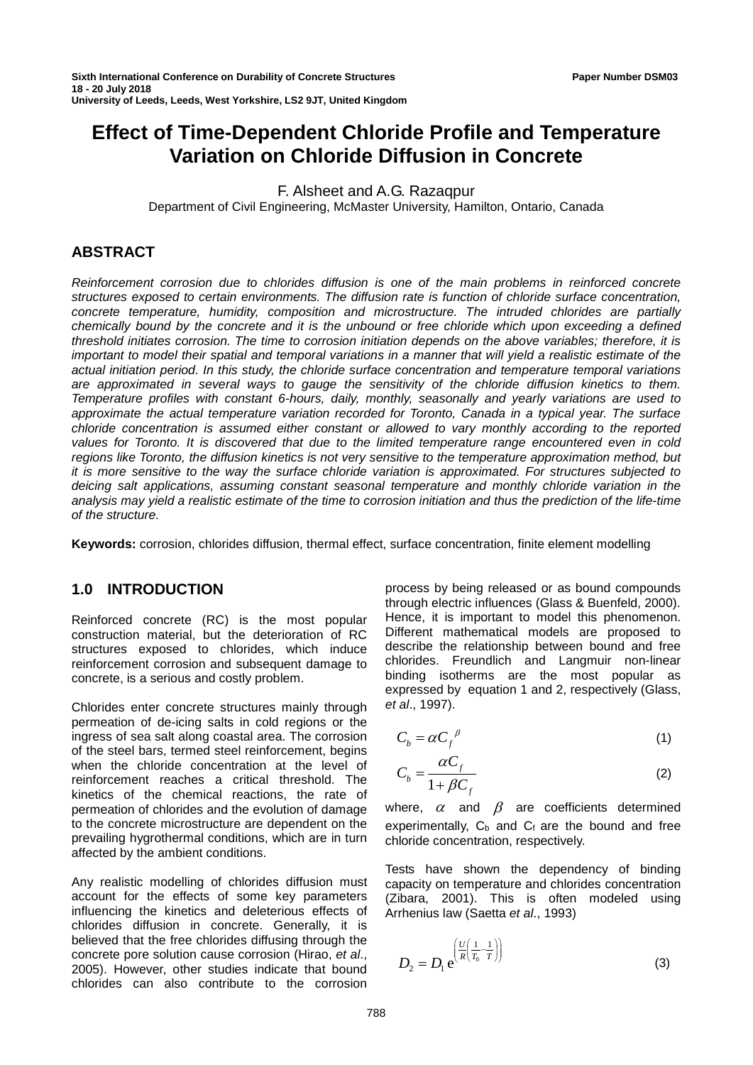# **Effect of Time-Dependent Chloride Profile and Temperature Variation on Chloride Diffusion in Concrete**

F. Alsheet and A.G. Razaqpur

Department of Civil Engineering, McMaster University, Hamilton, Ontario, Canada

# **ABSTRACT**

*Reinforcement corrosion due to chlorides diffusion is one of the main problems in reinforced concrete structures exposed to certain environments. The diffusion rate is function of chloride surface concentration, concrete temperature, humidity, composition and microstructure. The intruded chlorides are partially chemically bound by the concrete and it is the unbound or free chloride which upon exceeding a defined threshold initiates corrosion. The time to corrosion initiation depends on the above variables; therefore, it is important to model their spatial and temporal variations in a manner that will yield a realistic estimate of the actual initiation period. In this study, the chloride surface concentration and temperature temporal variations are approximated in several ways to gauge the sensitivity of the chloride diffusion kinetics to them. Temperature profiles with constant 6-hours, daily, monthly, seasonally and yearly variations are used to approximate the actual temperature variation recorded for Toronto, Canada in a typical year. The surface chloride concentration is assumed either constant or allowed to vary monthly according to the reported*  values for Toronto. It is discovered that due to the limited temperature range encountered even in cold *regions like Toronto, the diffusion kinetics is not very sensitive to the temperature approximation method, but it is more sensitive to the way the surface chloride variation is approximated. For structures subjected to deicing salt applications, assuming constant seasonal temperature and monthly chloride variation in the analysis may yield a realistic estimate of the time to corrosion initiation and thus the prediction of the life-time of the structure.* 

**Keywords:** corrosion, chlorides diffusion, thermal effect, surface concentration, finite element modelling

# **1.0 INTRODUCTION**

Reinforced concrete (RC) is the most popular construction material, but the deterioration of RC structures exposed to chlorides, which induce reinforcement corrosion and subsequent damage to concrete, is a serious and costly problem.

Chlorides enter concrete structures mainly through permeation of de-icing salts in cold regions or the ingress of sea salt along coastal area. The corrosion of the steel bars, termed steel reinforcement, begins when the chloride concentration at the level of reinforcement reaches a critical threshold. The kinetics of the chemical reactions, the rate of permeation of chlorides and the evolution of damage to the concrete microstructure are dependent on the prevailing hygrothermal conditions, which are in turn affected by the ambient conditions.

Any realistic modelling of chlorides diffusion must account for the effects of some key parameters influencing the kinetics and deleterious effects of chlorides diffusion in concrete. Generally, it is believed that the free chlorides diffusing through the concrete pore solution cause corrosion (Hirao, *et al*., 2005). However, other studies indicate that bound chlorides can also contribute to the corrosion

process by being released or as bound compounds through electric influences (Glass & Buenfeld, 2000). Hence, it is important to model this phenomenon. Different mathematical models are proposed to describe the relationship between bound and free chlorides. Freundlich and Langmuir non-linear binding isotherms are the most popular as expressed by equation 1 and 2, respectively (Glass, *et al*., 1997).

$$
C_b = \alpha C_f^{\ \beta} \tag{1}
$$

$$
C_b = \frac{\alpha C_f}{1 + \beta C_f} \tag{2}
$$

where,  $\alpha$  and  $\beta$  are coefficients determined experimentally,  $C_b$  and  $C_f$  are the bound and free chloride concentration, respectively.

Tests have shown the dependency of binding capacity on temperature and chlorides concentration (Zibara, 2001). This is often modeled using Arrhenius law (Saetta *et al*., 1993)

$$
D_2 = D_1 e^{\left(\frac{U}{R\left(\frac{1}{T_0} - \frac{1}{T}\right)}\right)}
$$
(3)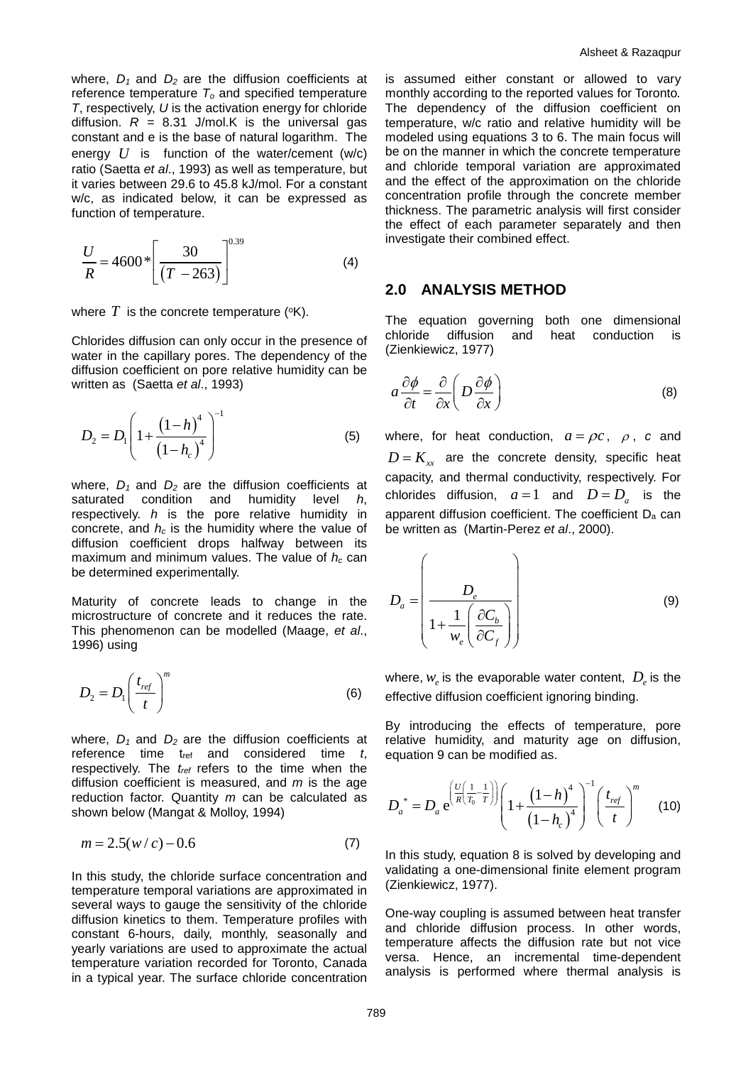where,  $D_1$  and  $D_2$  are the diffusion coefficients at reference temperature *To* and specified temperature *T*, respectively, *U* is the activation energy for chloride diffusion.  $R = 8.31$  J/mol.K is the universal gas constant and e is the base of natural logarithm. The energy *U* is function of the water/cement (w/c) ratio (Saetta *et al*., 1993) as well as temperature, but it varies between 29.6 to 45.8 kJ/mol. For a constant w/c, as indicated below, it can be expressed as function of temperature.

$$
\frac{U}{R} = 4600 \times \left[ \frac{30}{(T - 263)} \right]^{0.39}
$$
 (4)

where  $T$  is the concrete temperature ( $\textdegree$ K).

Chlorides diffusion can only occur in the presence of water in the capillary pores. The dependency of the diffusion coefficient on pore relative humidity can be written as (Saetta *et al*., 1993)

$$
D_2 = D_1 \left( 1 + \frac{\left(1 - h\right)^4}{\left(1 - h_c\right)^4} \right)^{-1} \tag{5}
$$

where,  $D_1$  and  $D_2$  are the diffusion coefficients at saturated condition and humidity level *h*, respectively. *h* is the pore relative humidity in concrete, and  $h_c$  is the humidity where the value of diffusion coefficient drops halfway between its maximum and minimum values. The value of *hc* can be determined experimentally.

Maturity of concrete leads to change in the microstructure of concrete and it reduces the rate. This phenomenon can be modelled (Maage, *et al*., 1996) using

$$
D_2 = D_1 \left(\frac{t_{ref}}{t}\right)^m \tag{6}
$$

where,  $D_1$  and  $D_2$  are the diffusion coefficients at reference time tref and considered time *t*, respectively. The *tref* refers to the time when the diffusion coefficient is measured, and *m* is the age reduction factor. Quantity *m* can be calculated as shown below (Mangat & Molloy, 1994)

$$
m = 2.5(w/c) - 0.6
$$
 (7)

In this study, the chloride surface concentration and temperature temporal variations are approximated in several ways to gauge the sensitivity of the chloride diffusion kinetics to them. Temperature profiles with constant 6-hours, daily, monthly, seasonally and yearly variations are used to approximate the actual temperature variation recorded for Toronto, Canada in a typical year. The surface chloride concentration

is assumed either constant or allowed to vary monthly according to the reported values for Toronto*.*  The dependency of the diffusion coefficient on temperature, w/c ratio and relative humidity will be modeled using equations 3 to 6. The main focus will be on the manner in which the concrete temperature and chloride temporal variation are approximated and the effect of the approximation on the chloride concentration profile through the concrete member thickness. The parametric analysis will first consider the effect of each parameter separately and then investigate their combined effect.

## **2.0 ANALYSIS METHOD**

The equation governing both one dimensional chloride diffusion and heat conduction is (Zienkiewicz, 1977)

$$
a\frac{\partial\phi}{\partial t} = \frac{\partial}{\partial x}\left(D\frac{\partial\phi}{\partial x}\right) \tag{8}
$$

where, for heat conduction,  $a = \rho c$ ,  $\rho$ , *c* and  $D = K_{rr}$  are the concrete density, specific heat capacity, and thermal conductivity, respectively. For chlorides diffusion,  $a = 1$  and  $D = D_a$  is the apparent diffusion coefficient. The coefficient D<sub>a</sub> can be written as (Martin-Perez *et al*., 2000).

$$
D_a = \left(\frac{D_e}{1 + \frac{1}{w_e} \left(\frac{\partial C_b}{\partial C_f}\right)}\right)
$$
(9)

where,  $w_e$  is the evaporable water content,  $D_e$  is the effective diffusion coefficient ignoring binding.

By introducing the effects of temperature, pore relative humidity, and maturity age on diffusion, equation 9 can be modified as.

$$
D_a^* = D_a e^{\left(\frac{U}{R\left(\frac{1}{T_0} - \frac{1}{T}\right)}\right)} \left(1 + \frac{\left(1 - h\right)^4}{\left(1 - h_c\right)^4}\right)^{-1} \left(\frac{t_{ref}}{t}\right)^m \tag{10}
$$

In this study, equation 8 is solved by developing and validating a one-dimensional finite element program (Zienkiewicz, 1977).

One-way coupling is assumed between heat transfer and chloride diffusion process. In other words, temperature affects the diffusion rate but not vice versa. Hence, an incremental time-dependent analysis is performed where thermal analysis is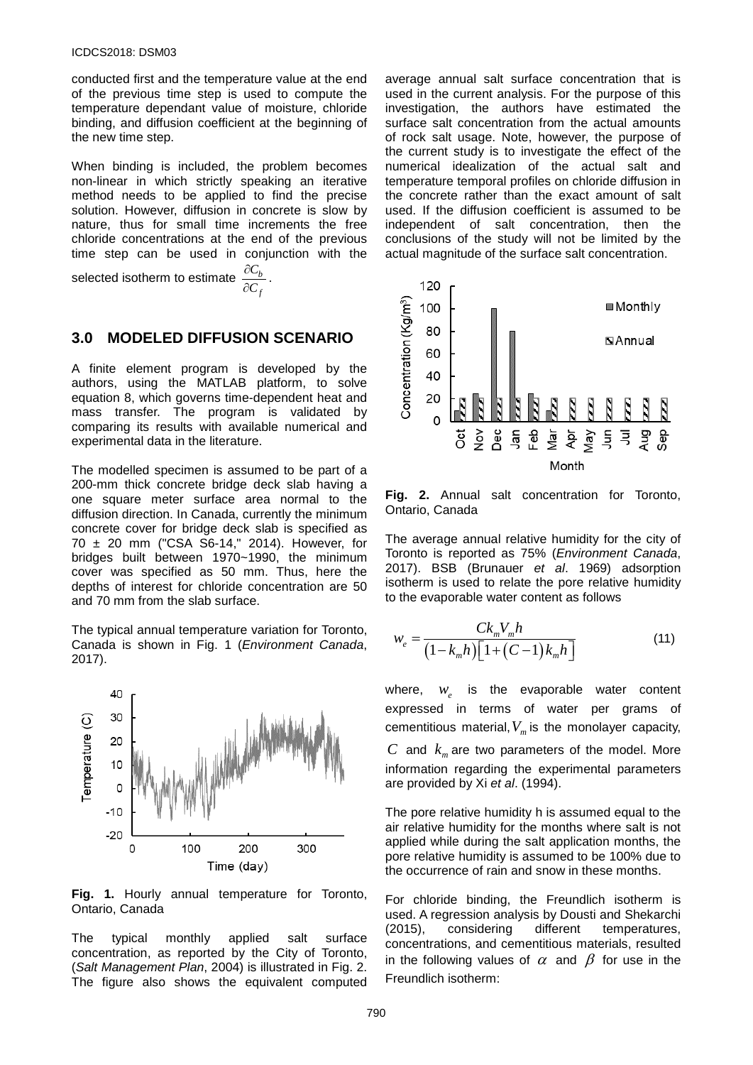conducted first and the temperature value at the end of the previous time step is used to compute the temperature dependant value of moisture, chloride binding, and diffusion coefficient at the beginning of the new time step.

When binding is included, the problem becomes non-linear in which strictly speaking an iterative method needs to be applied to find the precise solution. However, diffusion in concrete is slow by nature, thus for small time increments the free chloride concentrations at the end of the previous time step can be used in conjunction with the

selected isotherm to estimate  $\frac{\partial C_b}{\partial G}$ *f C C*  $\frac{\partial C_b}{\partial \overline{C}_f}$  .

## **3.0 MODELED DIFFUSION SCENARIO**

A finite element program is developed by the authors, using the MATLAB platform, to solve equation 8, which governs time-dependent heat and mass transfer. The program is validated by comparing its results with available numerical and experimental data in the literature.

The modelled specimen is assumed to be part of a 200-mm thick concrete bridge deck slab having a one square meter surface area normal to the diffusion direction. In Canada, currently the minimum concrete cover for bridge deck slab is specified as 70 ± 20 mm ("CSA S6-14," 2014). However, for bridges built between 1970~1990, the minimum cover was specified as 50 mm. Thus, here the depths of interest for chloride concentration are 50 and 70 mm from the slab surface.

The typical annual temperature variation for Toronto, Canada is shown in Fig. 1 (*Environment Canada*, 2017).



**Fig. 1.** Hourly annual temperature for Toronto, Ontario, Canada

The typical monthly applied salt surface concentration, as reported by the City of Toronto, (*Salt Management Plan*, 2004) is illustrated in Fig. 2. The figure also shows the equivalent computed average annual salt surface concentration that is used in the current analysis. For the purpose of this investigation, the authors have estimated the surface salt concentration from the actual amounts of rock salt usage. Note, however, the purpose of the current study is to investigate the effect of the numerical idealization of the actual salt and temperature temporal profiles on chloride diffusion in the concrete rather than the exact amount of salt used. If the diffusion coefficient is assumed to be independent of salt concentration, then the conclusions of the study will not be limited by the actual magnitude of the surface salt concentration.



**Fig. 2.** Annual salt concentration for Toronto, Ontario, Canada

The average annual relative humidity for the city of Toronto is reported as 75% (*Environment Canada*, 2017). BSB (Brunauer *et al*. 1969) adsorption isotherm is used to relate the pore relative humidity to the evaporable water content as follows

$$
w_e = \frac{C k_m V_m h}{(1 - k_m h) \left[ 1 + (C - 1) k_m h \right]}
$$
(11)

where,  $w_e$  is the evaporable water content expressed in terms of water per grams of cementitious material,  $V_m$  is the monolayer capacity, *C* and  $k_m$  are two parameters of the model. More

information regarding the experimental parameters are provided by Xi *et al*. (1994).

The pore relative humidity h is assumed equal to the air relative humidity for the months where salt is not applied while during the salt application months, the pore relative humidity is assumed to be 100% due to the occurrence of rain and snow in these months.

For chloride binding, the Freundlich isotherm is used. A regression analysis by Dousti and Shekarchi (2015), considering different temperatures, concentrations, and cementitious materials, resulted in the following values of  $\alpha$  and  $\beta$  for use in the Freundlich isotherm: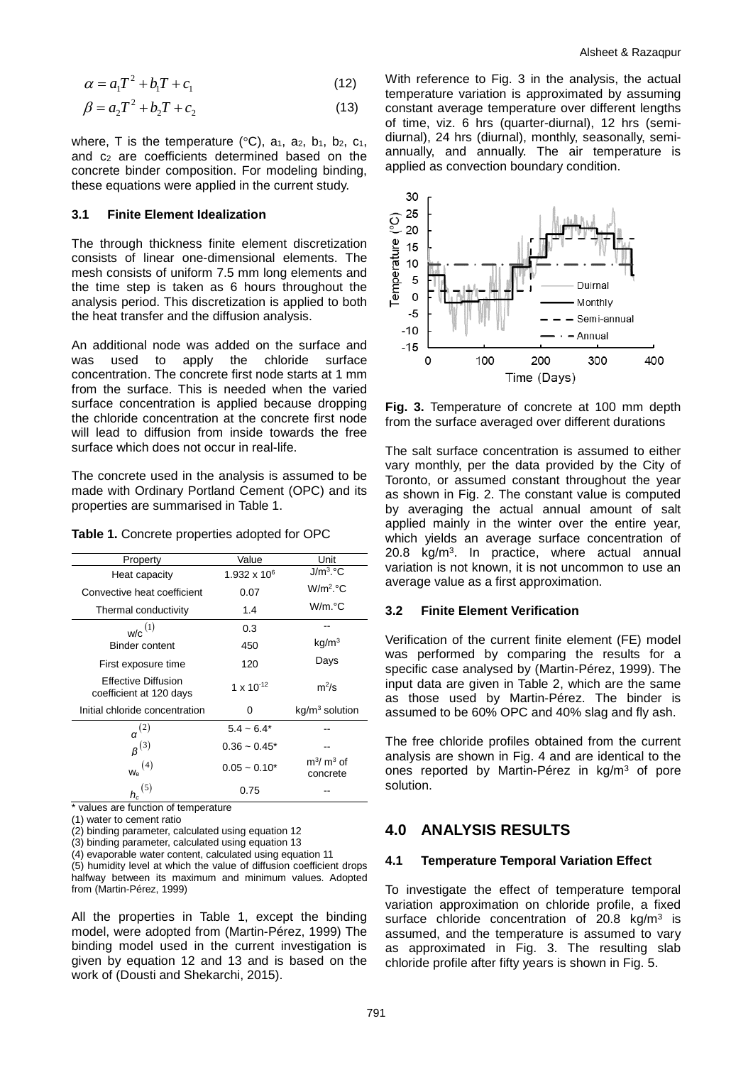$$
\alpha = a_1 T^2 + b_1 T + c_1 \tag{12}
$$

$$
\beta = a_2 T^2 + b_2 T + c_2 \tag{13}
$$

where, T is the temperature ( $\degree$ C), a<sub>1</sub>, a<sub>2</sub>, b<sub>1</sub>, b<sub>2</sub>, c<sub>1</sub>, and c2 are coefficients determined based on the concrete binder composition. For modeling binding, these equations were applied in the current study.

#### **3.1 Finite Element Idealization**

The through thickness finite element discretization consists of linear one-dimensional elements. The mesh consists of uniform 7.5 mm long elements and the time step is taken as 6 hours throughout the analysis period. This discretization is applied to both the heat transfer and the diffusion analysis.

An additional node was added on the surface and was used to apply the chloride surface concentration. The concrete first node starts at 1 mm from the surface. This is needed when the varied surface concentration is applied because dropping the chloride concentration at the concrete first node will lead to diffusion from inside towards the free surface which does not occur in real-life.

The concrete used in the analysis is assumed to be made with Ordinary Portland Cement (OPC) and its properties are summarised in Table 1.

**Table 1.** Concrete properties adopted for OPC

| Property                                              | Value                 | Unit                     |
|-------------------------------------------------------|-----------------------|--------------------------|
| Heat capacity                                         | $1.932 \times 10^{6}$ | $J/m3$ °C                |
| Convective heat coefficient                           | 0.07                  | $W/m2$ . $°C$            |
| Thermal conductivity                                  | 1.4                   | W/m.°C                   |
| $w/c$ <sup>(1)</sup>                                  | 0.3                   |                          |
| <b>Binder content</b>                                 | 450                   | kg/m <sup>3</sup>        |
| First exposure time                                   | 120                   | Days                     |
| <b>Effective Diffusion</b><br>coefficient at 120 days | 1 x $10^{-12}$        | $m^2/s$                  |
| Initial chloride concentration                        | 0                     | $kq/m3$ solution         |
| $\alpha^{(2)}$                                        | $5.4 - 6.4*$          |                          |
| $B^{(3)}$                                             | $0.36 - 0.45^*$       |                          |
| $_{\mathsf{W_{e}}}^{\mathrm{(4)}}$                    | $0.05 - 0.10*$        | $m^3/m^3$ of<br>concrete |
| (5)<br>h.<br>. .<br>. .                               | 0.75                  |                          |

\* values are function of temperature

(1) water to cement ratio

(2) binding parameter, calculated using equation 12

(3) binding parameter, calculated using equation 13

(4) evaporable water content, calculated using equation 11

(5) humidity level at which the value of diffusion coefficient drops halfway between its maximum and minimum values. Adopted from (Martin-Pérez, 1999)

All the properties in Table 1, except the binding model, were adopted from (Martin-Pérez, 1999) The binding model used in the current investigation is given by equation 12 and 13 and is based on the work of (Dousti and Shekarchi, 2015).

With reference to Fig. 3 in the analysis, the actual temperature variation is approximated by assuming constant average temperature over different lengths of time, viz. 6 hrs (quarter-diurnal), 12 hrs (semidiurnal), 24 hrs (diurnal), monthly, seasonally, semiannually, and annually. The air temperature is applied as convection boundary condition.



**Fig. 3.** Temperature of concrete at 100 mm depth from the surface averaged over different durations

The salt surface concentration is assumed to either vary monthly, per the data provided by the City of Toronto, or assumed constant throughout the year as shown in Fig. 2. The constant value is computed by averaging the actual annual amount of salt applied mainly in the winter over the entire year, which yields an average surface concentration of 20.8 kg/m3. In practice, where actual annual variation is not known, it is not uncommon to use an average value as a first approximation.

#### **3.2 Finite Element Verification**

Verification of the current finite element (FE) model was performed by comparing the results for a specific case analysed by (Martin-Pérez, 1999). The input data are given in Table 2, which are the same as those used by Martin-Pérez. The binder is assumed to be 60% OPC and 40% slag and fly ash.

The free chloride profiles obtained from the current analysis are shown in Fig. 4 and are identical to the ones reported by Martin-Pérez in kg/m3 of pore solution.

### **4.0 ANALYSIS RESULTS**

#### **4.1 Temperature Temporal Variation Effect**

To investigate the effect of temperature temporal variation approximation on chloride profile, a fixed surface chloride concentration of  $20.8 \text{ kg/m}^3$  is assumed, and the temperature is assumed to vary as approximated in Fig. 3. The resulting slab chloride profile after fifty years is shown in Fig. 5.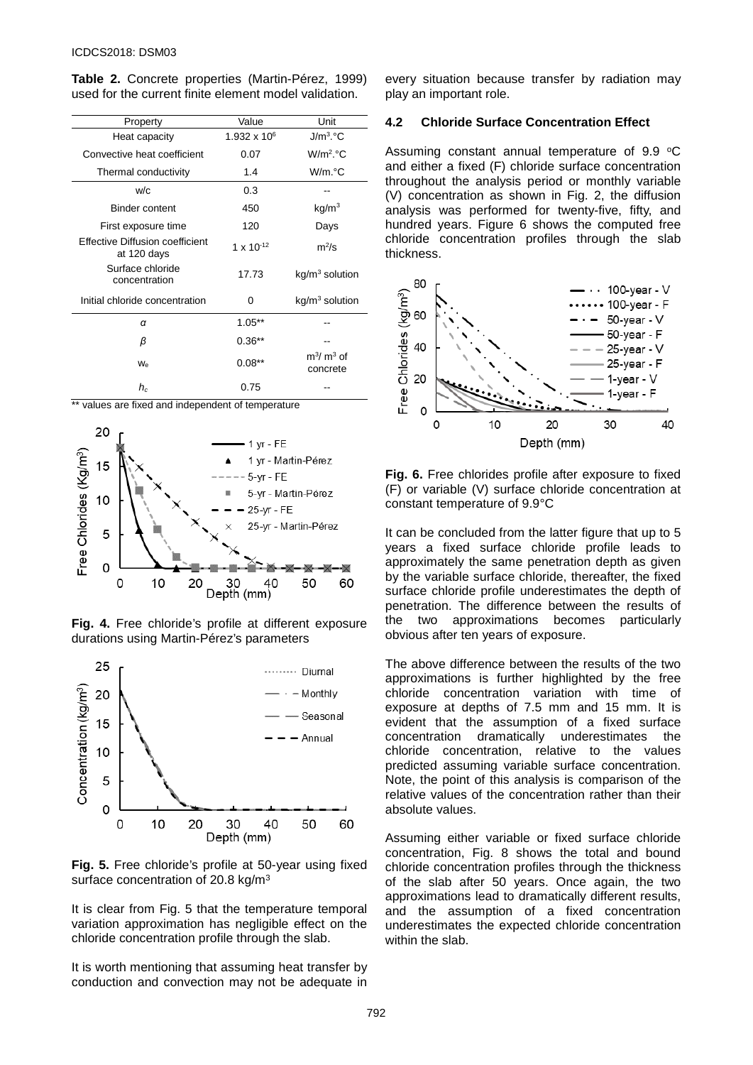**Table 2.** Concrete properties (Martin-Pérez, 1999) used for the current finite element model validation.

| Property                                       | Value          | Unit                     |
|------------------------------------------------|----------------|--------------------------|
| Heat capacity                                  | 1.932 x $10^6$ | $J/m3$ °C                |
| Convective heat coefficient                    | 0.07           | $W/m2$ . $°C$            |
| Thermal conductivity                           | 1.4            | W/m.°C                   |
| w/c                                            | 0.3            |                          |
| <b>Binder content</b>                          | 450            | kg/m <sup>3</sup>        |
| First exposure time                            | 120            | Days                     |
| Effective Diffusion coefficient<br>at 120 days | 1 x $10^{-12}$ | $m^2$ /s                 |
| Surface chloride<br>concentration              | 17.73          | $kg/m3$ solution         |
| Initial chloride concentration                 | 0              | $kg/m3$ solution         |
| α                                              | $1.05**$       |                          |
| β                                              | $0.36**$       |                          |
| $W_{\alpha}$                                   | $0.08**$       | $m^3/m^3$ of<br>concrete |
| $h_c$                                          | 0.75           |                          |

\*\* values are fixed and independent of temperature







**Fig. 5.** Free chloride's profile at 50-year using fixed surface concentration of 20.8 kg/m<sup>3</sup>

It is clear from Fig. 5 that the temperature temporal variation approximation has negligible effect on the chloride concentration profile through the slab.

It is worth mentioning that assuming heat transfer by conduction and convection may not be adequate in

every situation because transfer by radiation may play an important role.

#### **4.2 Chloride Surface Concentration Effect**

Assuming constant annual temperature of  $9.9 \text{ }^{\circ}\text{C}$ and either a fixed (F) chloride surface concentration throughout the analysis period or monthly variable (V) concentration as shown in Fig. 2, the diffusion analysis was performed for twenty-five, fifty, and hundred years. Figure 6 shows the computed free chloride concentration profiles through the slab thickness.



**Fig. 6.** Free chlorides profile after exposure to fixed (F) or variable (V) surface chloride concentration at constant temperature of 9.9°C

It can be concluded from the latter figure that up to 5 years a fixed surface chloride profile leads to approximately the same penetration depth as given by the variable surface chloride, thereafter, the fixed surface chloride profile underestimates the depth of penetration. The difference between the results of the two approximations becomes particularly obvious after ten years of exposure.

The above difference between the results of the two approximations is further highlighted by the free chloride concentration variation with time of exposure at depths of 7.5 mm and 15 mm. It is evident that the assumption of a fixed surface concentration dramatically underestimates the chloride concentration, relative to the values predicted assuming variable surface concentration. Note, the point of this analysis is comparison of the relative values of the concentration rather than their absolute values.

Assuming either variable or fixed surface chloride concentration, Fig. 8 shows the total and bound chloride concentration profiles through the thickness of the slab after 50 years. Once again, the two approximations lead to dramatically different results, and the assumption of a fixed concentration underestimates the expected chloride concentration within the slab.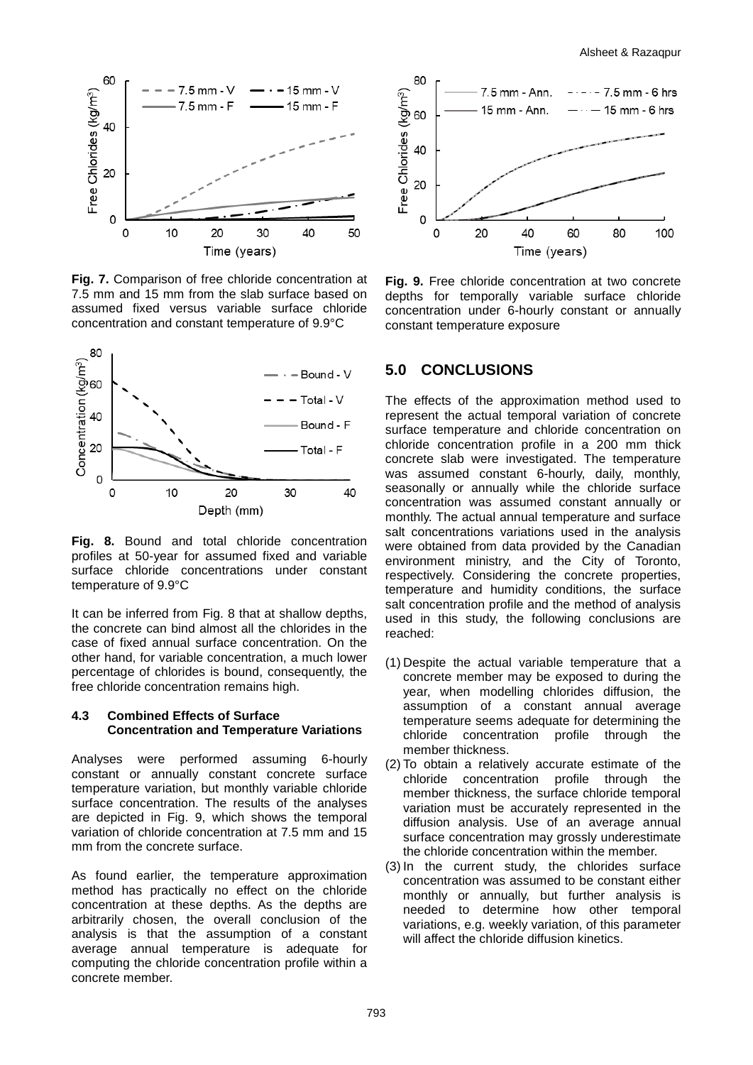

**Fig. 7.** Comparison of free chloride concentration at 7.5 mm and 15 mm from the slab surface based on assumed fixed versus variable surface chloride concentration and constant temperature of 9.9°C



**Fig. 8.** Bound and total chloride concentration profiles at 50-year for assumed fixed and variable surface chloride concentrations under constant temperature of 9.9°C

It can be inferred from Fig. 8 that at shallow depths, the concrete can bind almost all the chlorides in the case of fixed annual surface concentration. On the other hand, for variable concentration, a much lower percentage of chlorides is bound, consequently, the free chloride concentration remains high.

#### **4.3 Combined Effects of Surface Concentration and Temperature Variations**

Analyses were performed assuming 6-hourly constant or annually constant concrete surface temperature variation, but monthly variable chloride surface concentration. The results of the analyses are depicted in Fig. 9, which shows the temporal variation of chloride concentration at 7.5 mm and 15 mm from the concrete surface.

As found earlier, the temperature approximation method has practically no effect on the chloride concentration at these depths. As the depths are arbitrarily chosen, the overall conclusion of the analysis is that the assumption of a constant average annual temperature is adequate for computing the chloride concentration profile within a concrete member.



**Fig. 9.** Free chloride concentration at two concrete depths for temporally variable surface chloride concentration under 6-hourly constant or annually constant temperature exposure

# **5.0 CONCLUSIONS**

The effects of the approximation method used to represent the actual temporal variation of concrete surface temperature and chloride concentration on chloride concentration profile in a 200 mm thick concrete slab were investigated. The temperature was assumed constant 6-hourly, daily, monthly, seasonally or annually while the chloride surface concentration was assumed constant annually or monthly. The actual annual temperature and surface salt concentrations variations used in the analysis were obtained from data provided by the Canadian environment ministry, and the City of Toronto, respectively. Considering the concrete properties, temperature and humidity conditions, the surface salt concentration profile and the method of analysis used in this study, the following conclusions are reached:

- (1) Despite the actual variable temperature that a concrete member may be exposed to during the year, when modelling chlorides diffusion, the assumption of a constant annual average temperature seems adequate for determining the chloride concentration profile through the member thickness.
- (2) To obtain a relatively accurate estimate of the chloride concentration profile through the member thickness, the surface chloride temporal variation must be accurately represented in the diffusion analysis. Use of an average annual surface concentration may grossly underestimate the chloride concentration within the member.
- (3) In the current study, the chlorides surface concentration was assumed to be constant either monthly or annually, but further analysis is needed to determine how other temporal variations, e.g. weekly variation, of this parameter will affect the chloride diffusion kinetics.